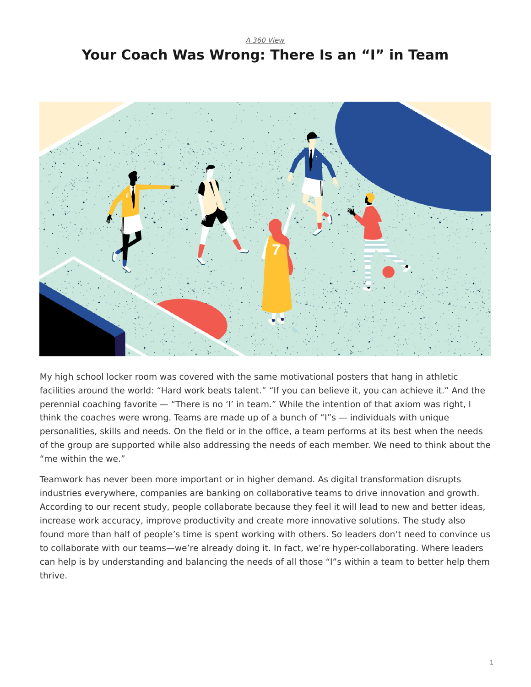## <span id="page-0-0"></span>*[A 360 View](https://www.steelcase.com/research/topics/a-360-view/)* **Your Coach Was Wrong: There Is an "I" in Team**



My high school locker room was covered with the same motivational posters that hang in athletic facilities around the world: "Hard work beats talent." "If you can believe it, you can achieve it." And the perennial coaching favorite — "There is no 'I' in team." While the intention of that axiom was right, I think the coaches were wrong. Teams are made up of a bunch of "I"s — individuals with unique personalities, skills and needs. On the field or in the office, a team performs at its best when the needs of the group are supported while also addressing the needs of each member. We need to think about the "me within the we."

Teamwork has never been more important or in higher demand. As digital transformation disrupts industries everywhere, companies are banking on collaborative teams to drive innovation and growth. According to our recent study, people collaborate because they feel it will lead to new and better ideas, increase work accuracy, improve productivity and create more innovative solutions. The study also found more than half of people's time is spent working with others. So leaders don't need to convince us to collaborate with our teams—we're already doing it. In fact, we're hyper-collaborating. Where leaders can help is by understanding and balancing the needs of all those "I"s within a team to better help them thrive.